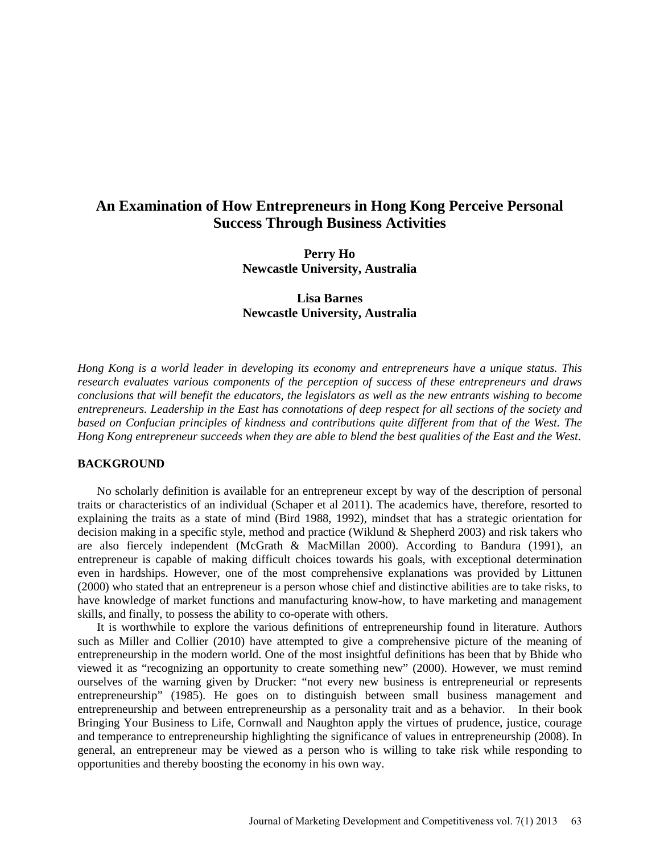# **An Examination of How Entrepreneurs in Hong Kong Perceive Personal Success Through Business Activities**

**Perry Ho Newcastle University, Australia**

**Lisa Barnes Newcastle University, Australia**

*Hong Kong is a world leader in developing its economy and entrepreneurs have a unique status. This research evaluates various components of the perception of success of these entrepreneurs and draws conclusions that will benefit the educators, the legislators as well as the new entrants wishing to become entrepreneurs. Leadership in the East has connotations of deep respect for all sections of the society and based on Confucian principles of kindness and contributions quite different from that of the West. The Hong Kong entrepreneur succeeds when they are able to blend the best qualities of the East and the West*.

#### **BACKGROUND**

No scholarly definition is available for an entrepreneur except by way of the description of personal traits or characteristics of an individual (Schaper et al 2011). The academics have, therefore, resorted to explaining the traits as a state of mind (Bird 1988, 1992), mindset that has a strategic orientation for decision making in a specific style, method and practice (Wiklund & Shepherd 2003) and risk takers who are also fiercely independent (McGrath & MacMillan 2000). According to Bandura (1991), an entrepreneur is capable of making difficult choices towards his goals, with exceptional determination even in hardships. However, one of the most comprehensive explanations was provided by Littunen (2000) who stated that an entrepreneur is a person whose chief and distinctive abilities are to take risks, to have knowledge of market functions and manufacturing know-how, to have marketing and management skills, and finally, to possess the ability to co-operate with others.

It is worthwhile to explore the various definitions of entrepreneurship found in literature. Authors such as Miller and Collier (2010) have attempted to give a comprehensive picture of the meaning of entrepreneurship in the modern world. One of the most insightful definitions has been that by Bhide who viewed it as "recognizing an opportunity to create something new" (2000). However, we must remind ourselves of the warning given by Drucker: "not every new business is entrepreneurial or represents entrepreneurship" (1985). He goes on to distinguish between small business management and entrepreneurship and between entrepreneurship as a personality trait and as a behavior. In their book Bringing Your Business to Life, Cornwall and Naughton apply the virtues of prudence, justice, courage and temperance to entrepreneurship highlighting the significance of values in entrepreneurship (2008). In general, an entrepreneur may be viewed as a person who is willing to take risk while responding to opportunities and thereby boosting the economy in his own way.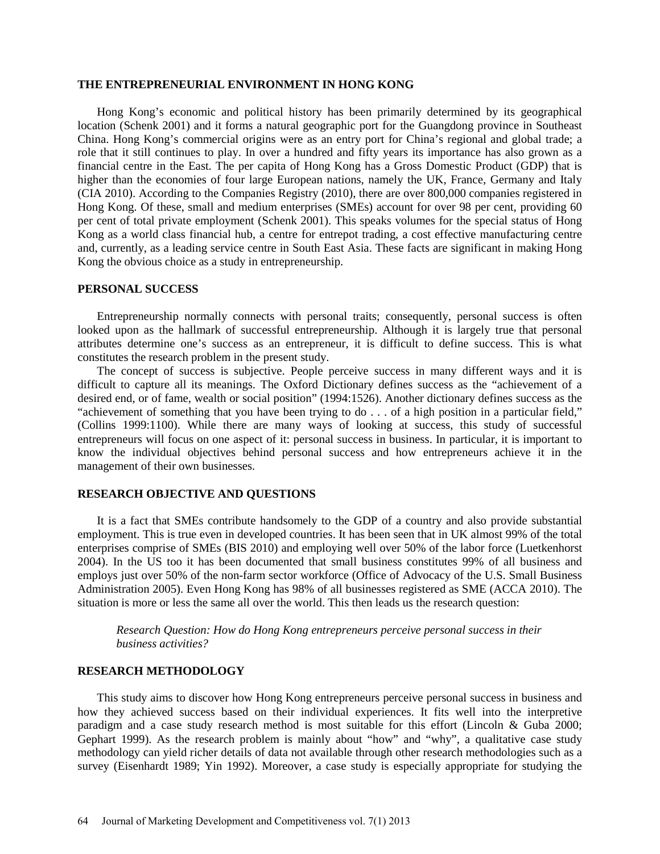#### **THE ENTREPRENEURIAL ENVIRONMENT IN HONG KONG**

Hong Kong's economic and political history has been primarily determined by its geographical location (Schenk 2001) and it forms a natural geographic port for the Guangdong province in Southeast China. Hong Kong's commercial origins were as an entry port for China's regional and global trade; a role that it still continues to play. In over a hundred and fifty years its importance has also grown as a financial centre in the East. The per capita of Hong Kong has a Gross Domestic Product (GDP) that is higher than the economies of four large European nations, namely the UK, France, Germany and Italy (CIA 2010). According to the Companies Registry (2010), there are over 800,000 companies registered in Hong Kong. Of these, small and medium enterprises (SMEs) account for over 98 per cent, providing 60 per cent of total private employment (Schenk 2001). This speaks volumes for the special status of Hong Kong as a world class financial hub, a centre for entrepot trading, a cost effective manufacturing centre and, currently, as a leading service centre in South East Asia. These facts are significant in making Hong Kong the obvious choice as a study in entrepreneurship.

#### **PERSONAL SUCCESS**

Entrepreneurship normally connects with personal traits; consequently, personal success is often looked upon as the hallmark of successful entrepreneurship. Although it is largely true that personal attributes determine one's success as an entrepreneur, it is difficult to define success. This is what constitutes the research problem in the present study.

The concept of success is subjective. People perceive success in many different ways and it is difficult to capture all its meanings. The Oxford Dictionary defines success as the "achievement of a desired end, or of fame, wealth or social position" (1994:1526). Another dictionary defines success as the "achievement of something that you have been trying to do . . . of a high position in a particular field," (Collins 1999:1100). While there are many ways of looking at success, this study of successful entrepreneurs will focus on one aspect of it: personal success in business. In particular, it is important to know the individual objectives behind personal success and how entrepreneurs achieve it in the management of their own businesses.

### **RESEARCH OBJECTIVE AND QUESTIONS**

It is a fact that SMEs contribute handsomely to the GDP of a country and also provide substantial employment. This is true even in developed countries. It has been seen that in UK almost 99% of the total enterprises comprise of SMEs (BIS 2010) and employing well over 50% of the labor force (Luetkenhorst 2004). In the US too it has been documented that small business constitutes 99% of all business and employs just over 50% of the non-farm sector workforce (Office of Advocacy of the U.S. Small Business Administration 2005). Even Hong Kong has 98% of all businesses registered as SME (ACCA 2010). The situation is more or less the same all over the world. This then leads us the research question:

*Research Question: How do Hong Kong entrepreneurs perceive personal success in their business activities?*

### **RESEARCH METHODOLOGY**

This study aims to discover how Hong Kong entrepreneurs perceive personal success in business and how they achieved success based on their individual experiences. It fits well into the interpretive paradigm and a case study research method is most suitable for this effort (Lincoln & Guba 2000; Gephart 1999). As the research problem is mainly about "how" and "why", a qualitative case study methodology can yield richer details of data not available through other research methodologies such as a survey (Eisenhardt 1989; Yin 1992). Moreover, a case study is especially appropriate for studying the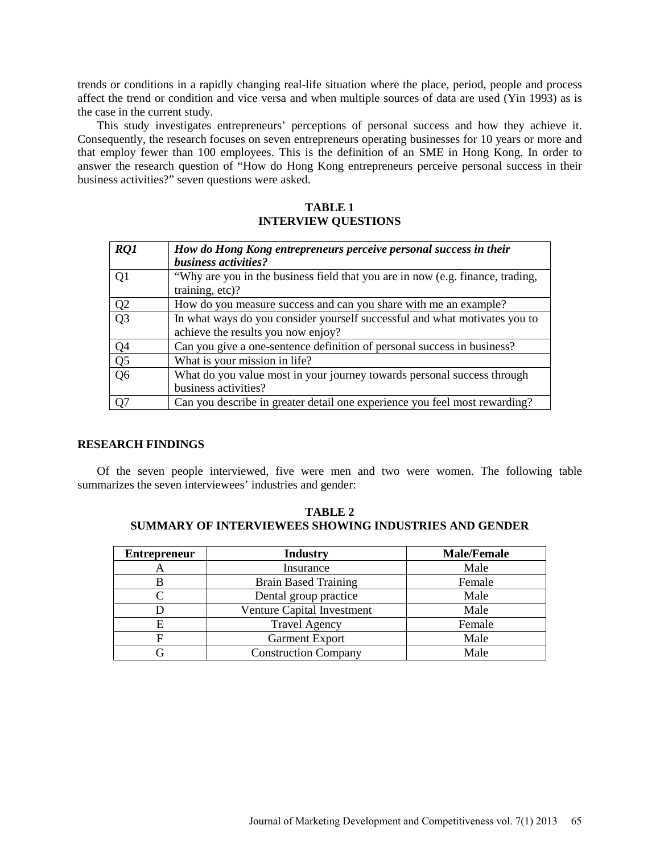trends or conditions in a rapidly changing real-life situation where the place, period, people and process affect the trend or condition and vice versa and when multiple sources of data are used (Yin 1993) as is the case in the current study.

This study investigates entrepreneurs' perceptions of personal success and how they achieve it. Consequently, the research focuses on seven entrepreneurs operating businesses for 10 years or more and that employ fewer than 100 employees. This is the definition of an SME in Hong Kong. In order to answer the research question of "How do Hong Kong entrepreneurs perceive personal success in their business activities?" seven questions were asked.

# **TABLE 1 INTERVIEW QUESTIONS**

| RQ1             | How do Hong Kong entrepreneurs perceive personal success in their<br>business activities?                        |
|-----------------|------------------------------------------------------------------------------------------------------------------|
| Q <sub>1</sub>  | "Why are you in the business field that you are in now (e.g. finance, trading,<br>training, etc)?                |
| Q2              | How do you measure success and can you share with me an example?                                                 |
| Q <sub>3</sub>  | In what ways do you consider yourself successful and what motivates you to<br>achieve the results you now enjoy? |
| Q <sub>4</sub>  | Can you give a one-sentence definition of personal success in business?                                          |
| $\overline{Q5}$ | What is your mission in life?                                                                                    |
| Q <sub>6</sub>  | What do you value most in your journey towards personal success through<br>business activities?                  |
|                 | Can you describe in greater detail one experience you feel most rewarding?                                       |

#### **RESEARCH FINDINGS**

Of the seven people interviewed, five were men and two were women. The following table summarizes the seven interviewees' industries and gender:

### **TABLE 2 SUMMARY OF INTERVIEWEES SHOWING INDUSTRIES AND GENDER**

| <b>Entrepreneur</b> | <b>Industry</b>             | <b>Male/Female</b> |
|---------------------|-----------------------------|--------------------|
| A                   | Insurance                   | Male               |
|                     | <b>Brain Based Training</b> | Female             |
|                     | Dental group practice       | Male               |
|                     | Venture Capital Investment  | Male               |
| E                   | <b>Travel Agency</b>        | Female             |
|                     | <b>Garment Export</b>       | Male               |
|                     | <b>Construction Company</b> | Male               |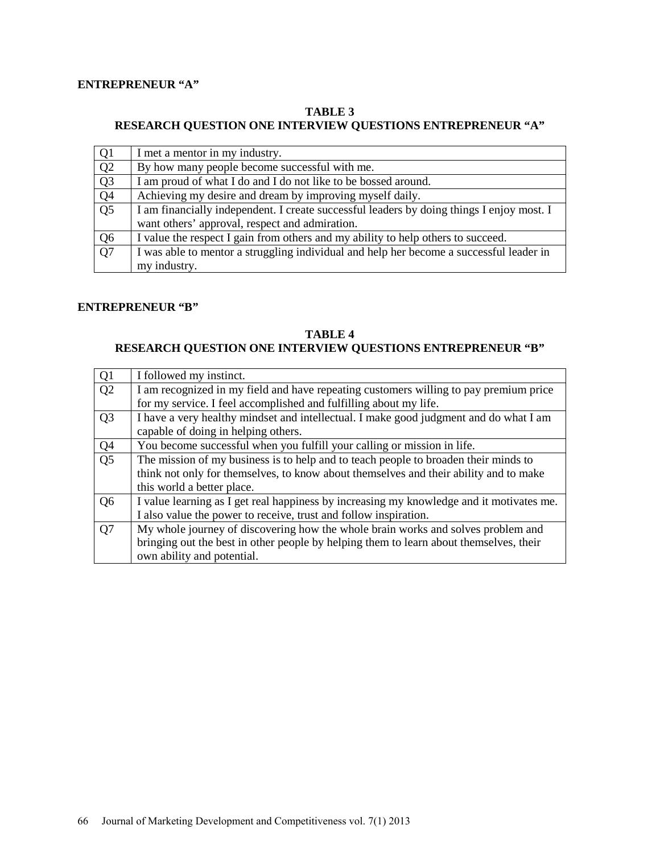# **ENTREPRENEUR "A"**

### **TABLE 3 RESEARCH QUESTION ONE INTERVIEW QUESTIONS ENTREPRENEUR "A"**

| Q <sub>1</sub> | I met a mentor in my industry.                                                            |
|----------------|-------------------------------------------------------------------------------------------|
| Q2             | By how many people become successful with me.                                             |
| Q <sub>3</sub> | I am proud of what I do and I do not like to be bossed around.                            |
| Q4             | Achieving my desire and dream by improving myself daily.                                  |
| Q <sub>5</sub> | I am financially independent. I create successful leaders by doing things I enjoy most. I |
|                | want others' approval, respect and admiration.                                            |
| Q6             | I value the respect I gain from others and my ability to help others to succeed.          |
| Q7             | I was able to mentor a struggling individual and help her become a successful leader in   |
|                | my industry.                                                                              |

#### **ENTREPRENEUR "B"**

# **TABLE 4 RESEARCH QUESTION ONE INTERVIEW QUESTIONS ENTREPRENEUR "B"**

| Q <sub>1</sub> | I followed my instinct.                                                                  |
|----------------|------------------------------------------------------------------------------------------|
| Q2             | I am recognized in my field and have repeating customers willing to pay premium price    |
|                | for my service. I feel accomplished and fulfilling about my life.                        |
| Q <sub>3</sub> | I have a very healthy mindset and intellectual. I make good judgment and do what I am    |
|                | capable of doing in helping others.                                                      |
| Q <sub>4</sub> | You become successful when you fulfill your calling or mission in life.                  |
| Q <sub>5</sub> | The mission of my business is to help and to teach people to broaden their minds to      |
|                | think not only for themselves, to know about themselves and their ability and to make    |
|                | this world a better place.                                                               |
| Q <sub>6</sub> | I value learning as I get real happiness by increasing my knowledge and it motivates me. |
|                | I also value the power to receive, trust and follow inspiration.                         |
| Q7             | My whole journey of discovering how the whole brain works and solves problem and         |
|                | bringing out the best in other people by helping them to learn about themselves, their   |
|                | own ability and potential.                                                               |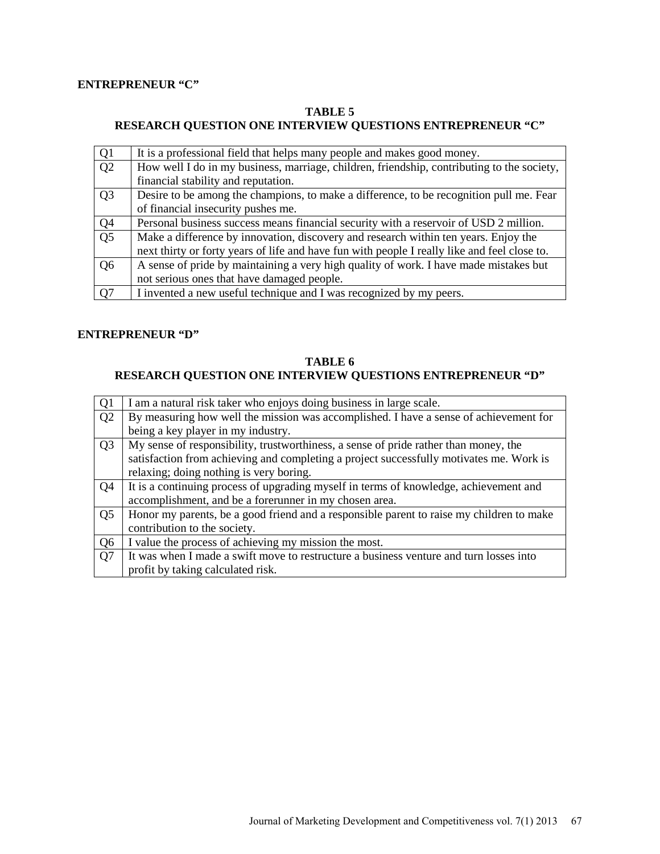# **ENTREPRENEUR "C"**

### **TABLE 5 RESEARCH QUESTION ONE INTERVIEW QUESTIONS ENTREPRENEUR "C"**

| Q <sub>1</sub> | It is a professional field that helps many people and makes good money.                      |
|----------------|----------------------------------------------------------------------------------------------|
| Q <sub>2</sub> | How well I do in my business, marriage, children, friendship, contributing to the society,   |
|                | financial stability and reputation.                                                          |
| Q <sub>3</sub> | Desire to be among the champions, to make a difference, to be recognition pull me. Fear      |
|                | of financial insecurity pushes me.                                                           |
| Q <sub>4</sub> | Personal business success means financial security with a reservoir of USD 2 million.        |
| Q <sub>5</sub> | Make a difference by innovation, discovery and research within ten years. Enjoy the          |
|                | next thirty or forty years of life and have fun with people I really like and feel close to. |
| Q <sub>6</sub> | A sense of pride by maintaining a very high quality of work. I have made mistakes but        |
|                | not serious ones that have damaged people.                                                   |
| O7             | I invented a new useful technique and I was recognized by my peers.                          |

# **ENTREPRENEUR "D"**

### **TABLE 6 RESEARCH QUESTION ONE INTERVIEW QUESTIONS ENTREPRENEUR "D"**

| Q1             | I am a natural risk taker who enjoys doing business in large scale.                      |
|----------------|------------------------------------------------------------------------------------------|
| Q <sub>2</sub> | By measuring how well the mission was accomplished. I have a sense of achievement for    |
|                | being a key player in my industry.                                                       |
| Q <sub>3</sub> | My sense of responsibility, trustworthiness, a sense of pride rather than money, the     |
|                | satisfaction from achieving and completing a project successfully motivates me. Work is  |
|                | relaxing; doing nothing is very boring.                                                  |
| Q <sub>4</sub> | It is a continuing process of upgrading myself in terms of knowledge, achievement and    |
|                | accomplishment, and be a forerunner in my chosen area.                                   |
| Q <sub>5</sub> | Honor my parents, be a good friend and a responsible parent to raise my children to make |
|                | contribution to the society.                                                             |
| Q <sub>6</sub> | I value the process of achieving my mission the most.                                    |
| Q7             | It was when I made a swift move to restructure a business venture and turn losses into   |
|                | profit by taking calculated risk.                                                        |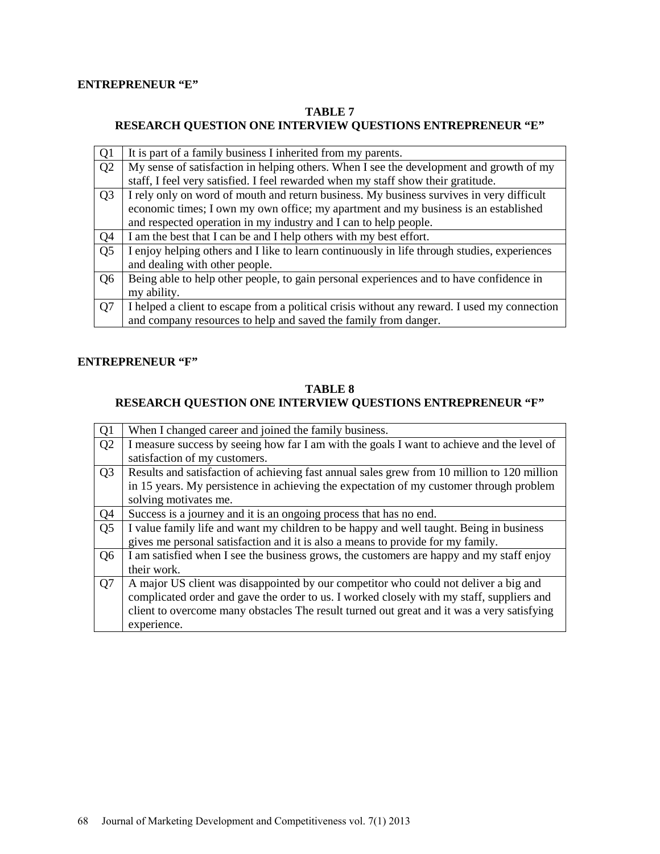# **ENTREPRENEUR "E"**

### **TABLE 7**

# **RESEARCH QUESTION ONE INTERVIEW QUESTIONS ENTREPRENEUR "E"**

| Q1             | It is part of a family business I inherited from my parents.                                 |
|----------------|----------------------------------------------------------------------------------------------|
| Q <sub>2</sub> | My sense of satisfaction in helping others. When I see the development and growth of my      |
|                | staff, I feel very satisfied. I feel rewarded when my staff show their gratitude.            |
| Q <sub>3</sub> | I rely only on word of mouth and return business. My business survives in very difficult     |
|                | economic times; I own my own office; my apartment and my business is an established          |
|                | and respected operation in my industry and I can to help people.                             |
| Q <sub>4</sub> | I am the best that I can be and I help others with my best effort.                           |
| Q <sub>5</sub> | I enjoy helping others and I like to learn continuously in life through studies, experiences |
|                | and dealing with other people.                                                               |
| Q <sub>6</sub> | Being able to help other people, to gain personal experiences and to have confidence in      |
|                | my ability.                                                                                  |
| Q7             | I helped a client to escape from a political crisis without any reward. I used my connection |
|                | and company resources to help and saved the family from danger.                              |

#### **ENTREPRENEUR "F"**

### **TABLE 8 RESEARCH QUESTION ONE INTERVIEW QUESTIONS ENTREPRENEUR "F"**

| Q1             | When I changed career and joined the family business.                                       |
|----------------|---------------------------------------------------------------------------------------------|
| Q <sub>2</sub> | I measure success by seeing how far I am with the goals I want to achieve and the level of  |
|                | satisfaction of my customers.                                                               |
| Q <sub>3</sub> | Results and satisfaction of achieving fast annual sales grew from 10 million to 120 million |
|                | in 15 years. My persistence in achieving the expectation of my customer through problem     |
|                | solving motivates me.                                                                       |
| Q <sub>4</sub> | Success is a journey and it is an ongoing process that has no end.                          |
| Q <sub>5</sub> | I value family life and want my children to be happy and well taught. Being in business     |
|                | gives me personal satisfaction and it is also a means to provide for my family.             |
| Q <sub>6</sub> | I am satisfied when I see the business grows, the customers are happy and my staff enjoy    |
|                | their work.                                                                                 |
| Q7             | A major US client was disappointed by our competitor who could not deliver a big and        |
|                | complicated order and gave the order to us. I worked closely with my staff, suppliers and   |
|                | client to overcome many obstacles The result turned out great and it was a very satisfying  |
|                | experience.                                                                                 |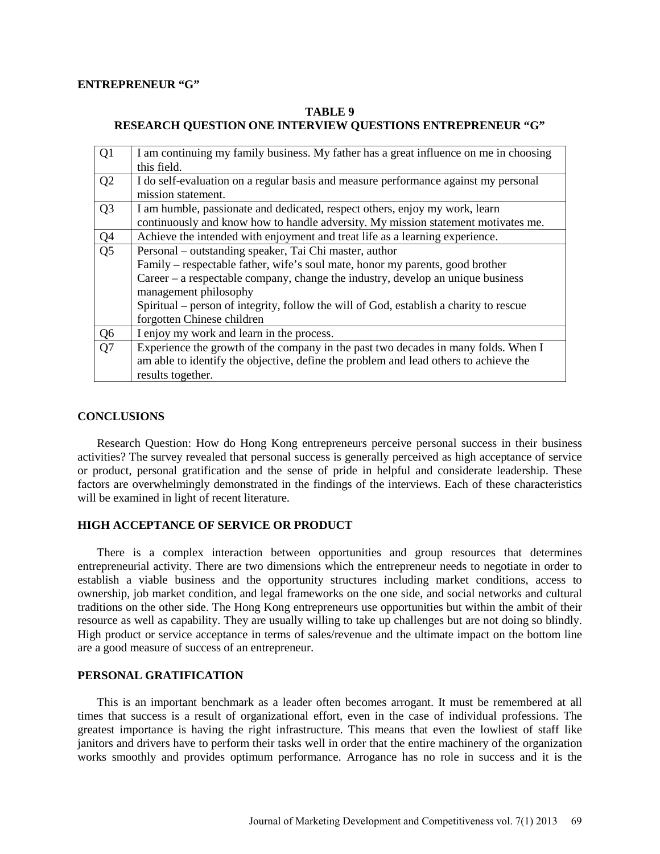#### **ENTREPRENEUR "G"**

### **TABLE 9**

### **RESEARCH QUESTION ONE INTERVIEW QUESTIONS ENTREPRENEUR "G"**

| Q <sub>1</sub> | I am continuing my family business. My father has a great influence on me in choosing  |
|----------------|----------------------------------------------------------------------------------------|
|                | this field.                                                                            |
| Q <sub>2</sub> | I do self-evaluation on a regular basis and measure performance against my personal    |
|                | mission statement.                                                                     |
| Q <sub>3</sub> | I am humble, passionate and dedicated, respect others, enjoy my work, learn            |
|                | continuously and know how to handle adversity. My mission statement motivates me.      |
| Q <sub>4</sub> | Achieve the intended with enjoyment and treat life as a learning experience.           |
| Q <sub>5</sub> | Personal – outstanding speaker, Tai Chi master, author                                 |
|                | Family – respectable father, wife's soul mate, honor my parents, good brother          |
|                | Career – a respectable company, change the industry, develop an unique business        |
|                | management philosophy                                                                  |
|                | Spiritual – person of integrity, follow the will of God, establish a charity to rescue |
|                | forgotten Chinese children                                                             |
| Q <sub>6</sub> | I enjoy my work and learn in the process.                                              |
| Q7             | Experience the growth of the company in the past two decades in many folds. When I     |
|                | am able to identify the objective, define the problem and lead others to achieve the   |
|                | results together.                                                                      |

### **CONCLUSIONS**

Research Question: How do Hong Kong entrepreneurs perceive personal success in their business activities? The survey revealed that personal success is generally perceived as high acceptance of service or product, personal gratification and the sense of pride in helpful and considerate leadership. These factors are overwhelmingly demonstrated in the findings of the interviews. Each of these characteristics will be examined in light of recent literature.

### **HIGH ACCEPTANCE OF SERVICE OR PRODUCT**

There is a complex interaction between opportunities and group resources that determines entrepreneurial activity. There are two dimensions which the entrepreneur needs to negotiate in order to establish a viable business and the opportunity structures including market conditions, access to ownership, job market condition, and legal frameworks on the one side, and social networks and cultural traditions on the other side. The Hong Kong entrepreneurs use opportunities but within the ambit of their resource as well as capability. They are usually willing to take up challenges but are not doing so blindly. High product or service acceptance in terms of sales/revenue and the ultimate impact on the bottom line are a good measure of success of an entrepreneur.

### **PERSONAL GRATIFICATION**

This is an important benchmark as a leader often becomes arrogant. It must be remembered at all times that success is a result of organizational effort, even in the case of individual professions. The greatest importance is having the right infrastructure. This means that even the lowliest of staff like janitors and drivers have to perform their tasks well in order that the entire machinery of the organization works smoothly and provides optimum performance. Arrogance has no role in success and it is the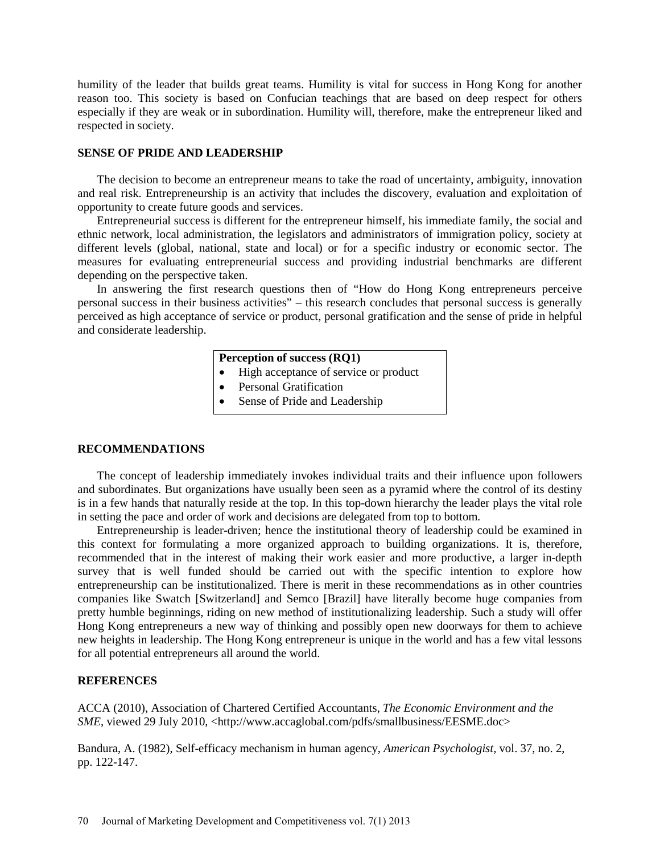humility of the leader that builds great teams. Humility is vital for success in Hong Kong for another reason too. This society is based on Confucian teachings that are based on deep respect for others especially if they are weak or in subordination. Humility will, therefore, make the entrepreneur liked and respected in society.

#### **SENSE OF PRIDE AND LEADERSHIP**

The decision to become an entrepreneur means to take the road of uncertainty, ambiguity, innovation and real risk. Entrepreneurship is an activity that includes the discovery, evaluation and exploitation of opportunity to create future goods and services.

Entrepreneurial success is different for the entrepreneur himself, his immediate family, the social and ethnic network, local administration, the legislators and administrators of immigration policy, society at different levels (global, national, state and local) or for a specific industry or economic sector. The measures for evaluating entrepreneurial success and providing industrial benchmarks are different depending on the perspective taken.

In answering the first research questions then of "How do Hong Kong entrepreneurs perceive personal success in their business activities" – this research concludes that personal success is generally perceived as high acceptance of service or product, personal gratification and the sense of pride in helpful and considerate leadership.

#### **Perception of success (RQ1)**

- High acceptance of service or product
- Personal Gratification
- Sense of Pride and Leadership

#### **RECOMMENDATIONS**

The concept of leadership immediately invokes individual traits and their influence upon followers and subordinates. But organizations have usually been seen as a pyramid where the control of its destiny is in a few hands that naturally reside at the top. In this top-down hierarchy the leader plays the vital role in setting the pace and order of work and decisions are delegated from top to bottom.

Entrepreneurship is leader-driven; hence the institutional theory of leadership could be examined in this context for formulating a more organized approach to building organizations. It is, therefore, recommended that in the interest of making their work easier and more productive, a larger in-depth survey that is well funded should be carried out with the specific intention to explore how entrepreneurship can be institutionalized. There is merit in these recommendations as in other countries companies like Swatch [Switzerland] and Semco [Brazil] have literally become huge companies from pretty humble beginnings, riding on new method of institutionalizing leadership. Such a study will offer Hong Kong entrepreneurs a new way of thinking and possibly open new doorways for them to achieve new heights in leadership. The Hong Kong entrepreneur is unique in the world and has a few vital lessons for all potential entrepreneurs all around the world.

#### **REFERENCES**

ACCA (2010), Association of Chartered Certified Accountants, *The Economic Environment and the SME*, viewed 29 July 2010, <http://www.accaglobal.com/pdfs/smallbusiness/EESME.doc>

Bandura, A. (1982), Self-efficacy mechanism in human agency, *American Psychologist,* vol. 37, no. 2, pp. 122-147.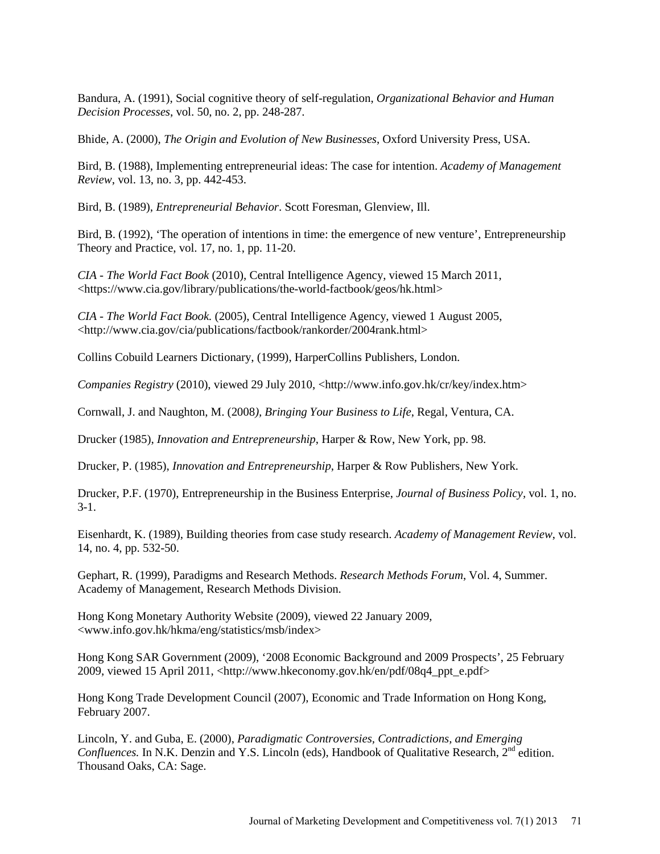Bandura, A. (1991), Social cognitive theory of self-regulation, *Organizational Behavior and Human Decision Processes*, vol. 50, no. 2, pp. 248-287.

Bhide, A. (2000), *The Origin and Evolution of New Businesses*, Oxford University Press, USA.

Bird, B. (1988), Implementing entrepreneurial ideas: The case for intention. *Academy of Management Review*, vol. 13, no. 3, pp. 442-453.

Bird, B. (1989), *Entrepreneurial Behavior*. Scott Foresman, Glenview, Ill.

Bird, B. (1992), 'The operation of intentions in time: the emergence of new venture', Entrepreneurship Theory and Practice, vol. 17, no. 1, pp. 11-20.

*CIA - The World Fact Book* (2010), Central Intelligence Agency, viewed 15 March 2011, <https://www.cia.gov/library/publications/the-world-factbook/geos/hk.html>

*CIA - The World Fact Book.* (2005), Central Intelligence Agency, viewed 1 August 2005, [<http://www.cia.gov/cia/publications/factbook/rankorder/2004rank.html>](http://www.cia.gov/cia/publications/factbook/rankorder/2004rank.html)

Collins Cobuild Learners Dictionary, (1999), HarperCollins Publishers, London.

*Companies Registry* (2010), viewed 29 July 2010, <http://www.info.gov.hk/cr/key/index.htm>

Cornwall, J. and Naughton, M. (2008*), Bringing Your Business to Life*, Regal, Ventura, CA.

Drucker (1985), *Innovation and Entrepreneurship*, Harper & Row, New York, pp. 98.

Drucker, P. (1985), *Innovation and Entrepreneurship*, Harper & Row Publishers, New York.

Drucker, P.F. (1970), Entrepreneurship in the Business Enterprise, *Journal of Business Policy,* vol. 1, no. 3-1.

Eisenhardt, K. (1989), Building theories from case study research. *Academy of Management Review*, vol. 14, no. 4, pp. 532-50.

Gephart, R. (1999), Paradigms and Research Methods. *Research Methods Forum*, Vol. 4, Summer. Academy of Management, Research Methods Division.

Hong Kong Monetary Authority Website (2009), viewed 22 January 2009, [<www.info.gov.hk/hkma/eng/statistics/msb/index>](http://www.info.gov.hk/hkma/eng/statistics/msb/index)

Hong Kong SAR Government (2009), '2008 Economic Background and 2009 Prospects', 25 February 2009, viewed 15 April 2011, <http://www.hkeconomy.gov.hk/en/pdf/08q4\_ppt\_e.pdf>

Hong Kong Trade Development Council (2007), Economic and Trade Information on Hong Kong, February 2007.

Lincoln, Y. and Guba, E. (2000), *Paradigmatic Controversies, Contradictions, and Emerging Confluences.* In N.K. Denzin and Y.S. Lincoln (eds), Handbook of Qualitative Research, 2<sup>nd</sup> edition. Thousand Oaks, CA: Sage.